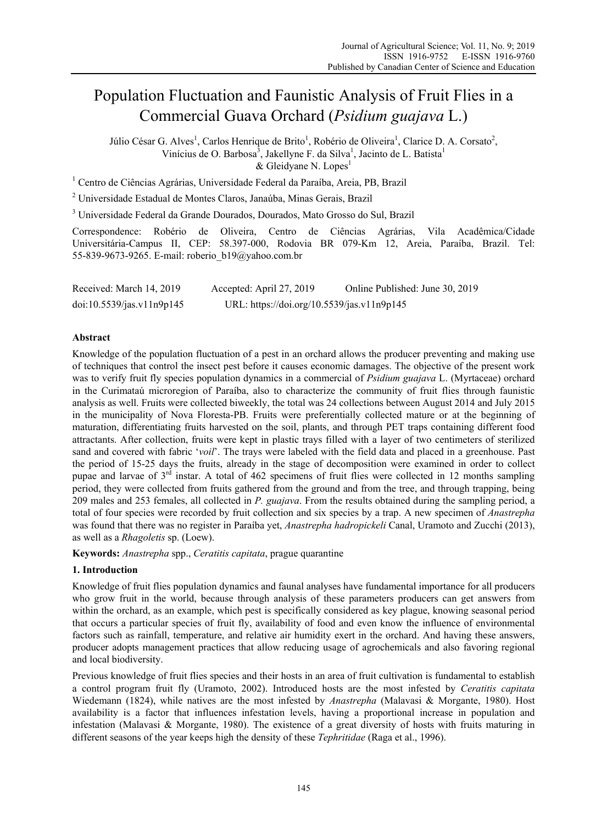# Population Fluctuation and Faunistic Analysis of Fruit Flies in a Commercial Guava Orchard (*Psidium guajava* L.)

Júlio César G. Alves<sup>1</sup>, Carlos Henrique de Brito<sup>1</sup>, Robério de Oliveira<sup>1</sup>, Clarice D. A. Corsato<sup>2</sup>, Vinícius de O. Barbosa<sup>3</sup>, Jakellyne F. da Silva<sup>1</sup>, Jacinto de L. Batista<sup>1</sup> & Gleidyane N. Lopes<sup>1</sup>

<sup>1</sup> Centro de Ciências Agrárias, Universidade Federal da Paraíba, Areia, PB, Brazil

2 Universidade Estadual de Montes Claros, Janaúba, Minas Gerais, Brazil

<sup>3</sup> Universidade Federal da Grande Dourados, Dourados, Mato Grosso do Sul, Brazil

Correspondence: Robério de Oliveira, Centro de Ciências Agrárias, Vila Acadêmica/Cidade Universitária-Campus II, CEP: 58.397-000, Rodovia BR 079-Km 12, Areia, Paraíba, Brazil. Tel: 55-839-9673-9265. E-mail: roberio\_b19@yahoo.com.br

| Received: March 14, 2019  | Accepted: April 27, 2019                   | Online Published: June 30, 2019 |
|---------------------------|--------------------------------------------|---------------------------------|
| doi:10.5539/jas.v11n9p145 | URL: https://doi.org/10.5539/jas.v11n9p145 |                                 |

# **Abstract**

Knowledge of the population fluctuation of a pest in an orchard allows the producer preventing and making use of techniques that control the insect pest before it causes economic damages. The objective of the present work was to verify fruit fly species population dynamics in a commercial of *Psidium guajava* L. (Myrtaceae) orchard in the Curimataú microregion of Paraíba, also to characterize the community of fruit flies through faunistic analysis as well. Fruits were collected biweekly, the total was 24 collections between August 2014 and July 2015 in the municipality of Nova Floresta-PB. Fruits were preferentially collected mature or at the beginning of maturation, differentiating fruits harvested on the soil, plants, and through PET traps containing different food attractants. After collection, fruits were kept in plastic trays filled with a layer of two centimeters of sterilized sand and covered with fabric '*voil*'. The trays were labeled with the field data and placed in a greenhouse. Past the period of 15-25 days the fruits, already in the stage of decomposition were examined in order to collect pupae and larvae of  $3<sup>rd</sup>$  instar. A total of 462 specimens of fruit flies were collected in 12 months sampling period, they were collected from fruits gathered from the ground and from the tree, and through trapping, being 209 males and 253 females, all collected in *P. guajava*. From the results obtained during the sampling period, a total of four species were recorded by fruit collection and six species by a trap. A new specimen of *Anastrepha* was found that there was no register in Paraíba yet, *Anastrepha hadropickeli* Canal, Uramoto and Zucchi (2013), as well as a *Rhagoletis* sp. (Loew).

**Keywords:** *Anastrepha* spp., *Ceratitis capitata*, prague quarantine

## **1. Introduction**

Knowledge of fruit flies population dynamics and faunal analyses have fundamental importance for all producers who grow fruit in the world, because through analysis of these parameters producers can get answers from within the orchard, as an example, which pest is specifically considered as key plague, knowing seasonal period that occurs a particular species of fruit fly, availability of food and even know the influence of environmental factors such as rainfall, temperature, and relative air humidity exert in the orchard. And having these answers, producer adopts management practices that allow reducing usage of agrochemicals and also favoring regional and local biodiversity.

Previous knowledge of fruit flies species and their hosts in an area of fruit cultivation is fundamental to establish a control program fruit fly (Uramoto, 2002). Introduced hosts are the most infested by *Ceratitis capitata* Wiedemann (1824), while natives are the most infested by *Anastrepha* (Malavasi & Morgante, 1980). Host availability is a factor that influences infestation levels, having a proportional increase in population and infestation (Malavasi & Morgante, 1980). The existence of a great diversity of hosts with fruits maturing in different seasons of the year keeps high the density of these *Tephritidae* (Raga et al., 1996).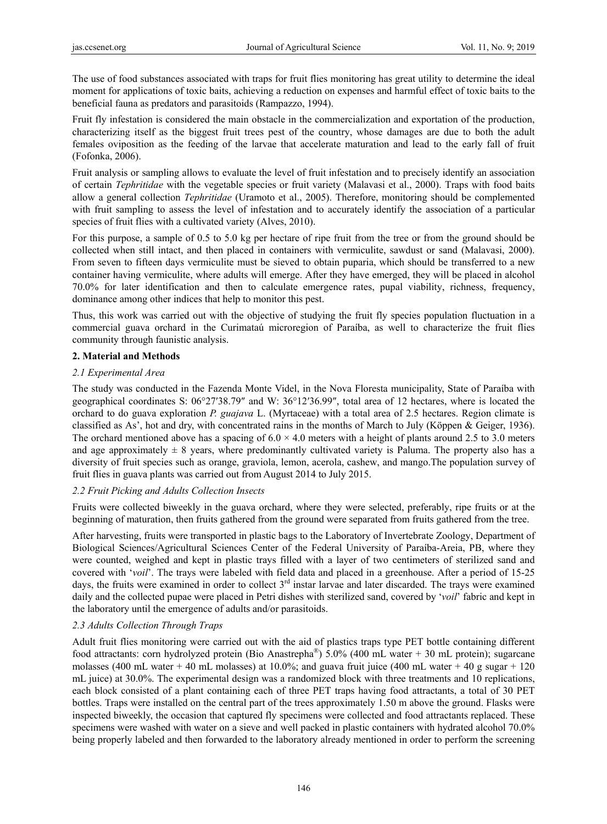The use of food substances associated with traps for fruit flies monitoring has great utility to determine the ideal moment for applications of toxic baits, achieving a reduction on expenses and harmful effect of toxic baits to the beneficial fauna as predators and parasitoids (Rampazzo, 1994).

Fruit fly infestation is considered the main obstacle in the commercialization and exportation of the production, characterizing itself as the biggest fruit trees pest of the country, whose damages are due to both the adult females oviposition as the feeding of the larvae that accelerate maturation and lead to the early fall of fruit (Fofonka, 2006).

Fruit analysis or sampling allows to evaluate the level of fruit infestation and to precisely identify an association of certain *Tephritidae* with the vegetable species or fruit variety (Malavasi et al., 2000). Traps with food baits allow a general collection *Tephritidae* (Uramoto et al., 2005). Therefore, monitoring should be complemented with fruit sampling to assess the level of infestation and to accurately identify the association of a particular species of fruit flies with a cultivated variety (Alves, 2010).

For this purpose, a sample of 0.5 to 5.0 kg per hectare of ripe fruit from the tree or from the ground should be collected when still intact, and then placed in containers with vermiculite, sawdust or sand (Malavasi, 2000). From seven to fifteen days vermiculite must be sieved to obtain puparia, which should be transferred to a new container having vermiculite, where adults will emerge. After they have emerged, they will be placed in alcohol 70.0% for later identification and then to calculate emergence rates, pupal viability, richness, frequency, dominance among other indices that help to monitor this pest.

Thus, this work was carried out with the objective of studying the fruit fly species population fluctuation in a commercial guava orchard in the Curimataú microregion of Paraíba, as well to characterize the fruit flies community through faunistic analysis.

# **2. Material and Methods**

# *2.1 Experimental Area*

The study was conducted in the Fazenda Monte Videl, in the Nova Floresta municipality, State of Paraíba with geographical coordinates S: 06°27′38.79″ and W: 36°12′36.99″, total area of 12 hectares, where is located the orchard to do guava exploration *P. guajava* L. (Myrtaceae) with a total area of 2.5 hectares. Region climate is classified as As', hot and dry, with concentrated rains in the months of March to July (Köppen & Geiger, 1936). The orchard mentioned above has a spacing of  $6.0 \times 4.0$  meters with a height of plants around 2.5 to 3.0 meters and age approximately  $\pm 8$  years, where predominantly cultivated variety is Paluma. The property also has a diversity of fruit species such as orange, graviola, lemon, acerola, cashew, and mango.The population survey of fruit flies in guava plants was carried out from August 2014 to July 2015.

# *2.2 Fruit Picking and Adults Collection Insects*

Fruits were collected biweekly in the guava orchard, where they were selected, preferably, ripe fruits or at the beginning of maturation, then fruits gathered from the ground were separated from fruits gathered from the tree.

After harvesting, fruits were transported in plastic bags to the Laboratory of Invertebrate Zoology, Department of Biological Sciences/Agricultural Sciences Center of the Federal University of Paraíba-Areia, PB, where they were counted, weighed and kept in plastic trays filled with a layer of two centimeters of sterilized sand and covered with '*voil*'. The trays were labeled with field data and placed in a greenhouse. After a period of 15-25 days, the fruits were examined in order to collect 3<sup>rd</sup> instar larvae and later discarded. The trays were examined daily and the collected pupae were placed in Petri dishes with sterilized sand, covered by '*voil*' fabric and kept in the laboratory until the emergence of adults and/or parasitoids.

## *2.3 Adults Collection Through Traps*

Adult fruit flies monitoring were carried out with the aid of plastics traps type PET bottle containing different food attractants: corn hydrolyzed protein (Bio Anastrepha®) 5.0% (400 mL water + 30 mL protein); sugarcane molasses (400 mL water + 40 mL molasses) at 10.0%; and guava fruit juice (400 mL water + 40 g sugar + 120 mL juice) at 30.0%. The experimental design was a randomized block with three treatments and 10 replications, each block consisted of a plant containing each of three PET traps having food attractants, a total of 30 PET bottles. Traps were installed on the central part of the trees approximately 1.50 m above the ground. Flasks were inspected biweekly, the occasion that captured fly specimens were collected and food attractants replaced. These specimens were washed with water on a sieve and well packed in plastic containers with hydrated alcohol 70.0% being properly labeled and then forwarded to the laboratory already mentioned in order to perform the screening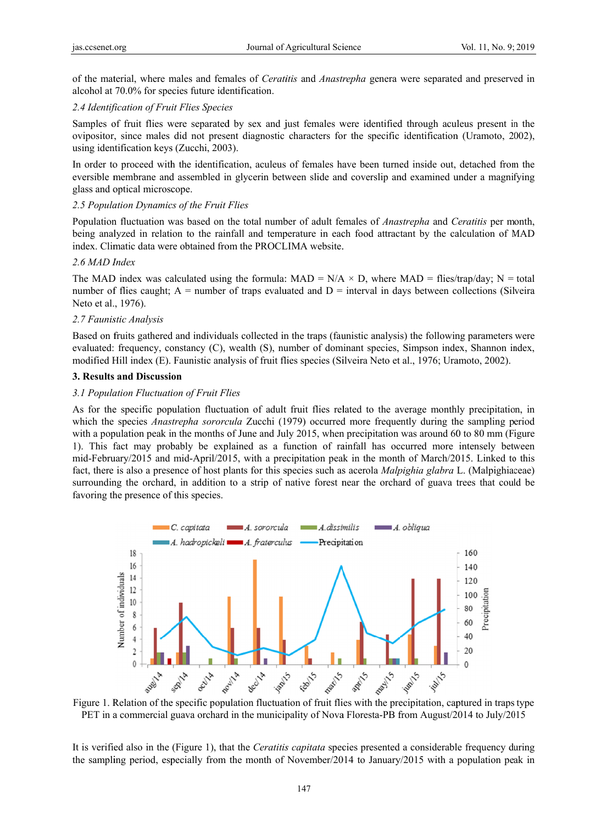of the material, where males and females of *Ceratitis* and *Anastrepha* genera were separated and preserved in alcohol at 70.0% for species future identification.

#### 2.4 Identification of Fruit Flies Species

Samples of fruit flies were separated by sex and just females were identified through aculeus present in the ovipositor, since males did not present diagnostic characters for the specific identification (Uramoto, 2002), using identification keys (Zucchi, 2003).

In order to proceed with the identification, aculeus of females have been turned inside out, detached from the eversible membrane and assembled in glycerin between slide and coverslip and examined under a magnifying glass and optical microscope.

#### 2.5 Population Dynamics of the Fruit Flies

Population fluctuation was based on the total number of adult females of *Anastrepha* and *Ceratitis* per month, being analyzed in relation to the rainfall and temperature in each food attractant by the calculation of MAD index. Climatic data were obtained from the PROCLIMA website.

#### *2.6 MAD I Index*

index. Climatic data were obtained from the PROCLIMA website.<br>2.6 *MAD Index*<br>The MAD index was calculated using the formula: MAD = N/A × D, where MAD = flies/trap/day; N = total number of flies caught;  $A =$  number of traps evaluated and  $D =$  interval in days between collections (Silveira Neto et al. , 1976).

### *2.7 Faunis stic Analysis*

Based on fruits gathered and individuals collected in the traps (faunistic analysis) the following parameters were evaluated: frequency, constancy (C), wealth (S), number of dominant species, Simpson index, Shannon index, modified Hill index (E). Faunistic analysis of fruit flies species (Silveira Neto et al., 1976; Uramoto, 2002).

#### **3. Results and Discussi on**

#### 3.1 Population Fluctuation of Fruit Flies

As for the specific population fluctuation of adult fruit flies related to the average monthly precipitation, in which the species *Anastrepha sororcula* Zucchi (1979) occurred more frequently during the sampling period with a population peak in the months of June and July 2015, when precipitation was around 60 to 80 mm (Figure 1). This fact may probably be explained as a function of rainfall has occurred more intensely between mid-February/2015 and mid-April/2015, with a precipitation peak in the month of March/2015. Linked to this fact, there is also a presence of host plants for this species such as acerola *Malpighia glabra* L. (Malpighiaceae) surrounding the orchard, in addition to a strip of native forest near the orchard of guava trees that could be favoring the presence of this species.



Figure 1. Relation of the specific population fluctuation of fruit flies with the precipitation, captured in traps type PET in a commercial guava orchard in the municipality of Nova Floresta-PB from August/2014 to July/2015

It is verified also in the (Figure 1), that the *Ceratitis capitata* species presented a considerable frequency during the sampling period, especially from the month of November/2014 to January/2015 with a population peak in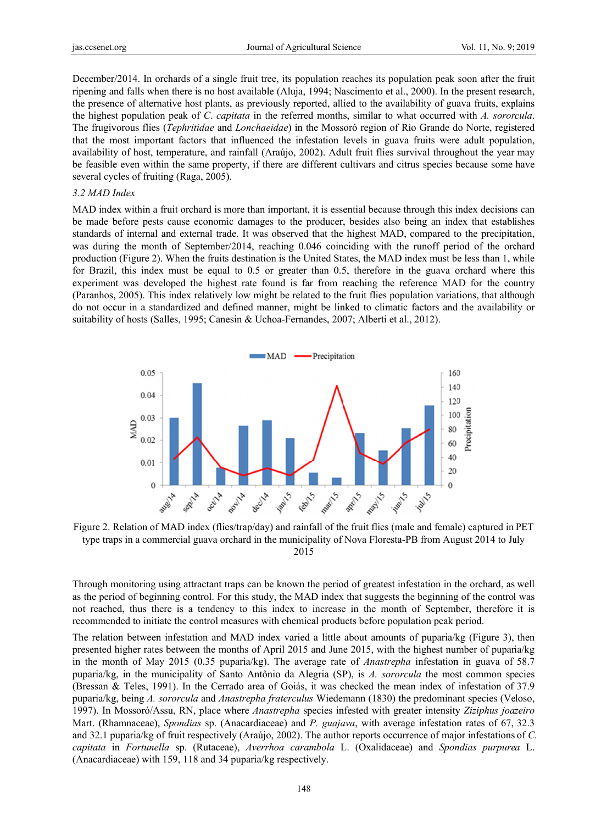December/2014. In orchards of a single fruit tree, its population reaches its population peak soon after the fruit ripening and falls when there is no host available (Aluja, 1994; Nascimento et al., 2000). In the present research, the presence of alternative host plants, as previously reported, allied to the availability of guava fruits, explains the highest population peak of C. capitata in the referred months, similar to what occurred with A. sororcula. The frugivorous flies (Tephritidae and Lonchaeidae) in the Mossoró region of Rio Grande do Norte, registered that the most important factors that influenced the infestation levels in guava fruits were adult population, availability of host, temperature, and rainfall (Araújo, 2002). Adult fruit flies survival throughout the year may be feasible even within the same property, if there are different cultivars and citrus species because some have several cycles of fruiting (Raga, 2005).

#### 3.2 MAD Index

MAD index within a fruit orchard is more than important, it is essential because through this index decisions can be made before pests cause economic damages to the producer, besides also being an index that establishes standards of internal and external trade. It was observed that the highest MAD, compared to the precipitation. was during the month of September/2014, reaching 0.046 coinciding with the runoff period of the orchard production (Figure 2). When the fruits destination is the United States, the MAD index must be less than 1, while for Brazil, this index must be equal to 0.5 or greater than 0.5, therefore in the guava orchard where this experiment was developed the highest rate found is far from reaching the reference MAD for the country (Paranhos, 2005). This index relatively low might be related to the fruit flies population variations, that although do not occur in a standardized and defined manner, might be linked to climatic factors and the availability or suitability of hosts (Salles, 1995; Canesin & Uchoa-Fernandes, 2007; Alberti et al., 2012).



Figure 2. Relation of MAD index (flies/trap/day) and rainfall of the fruit flies (male and female) captured in PET type traps in a commercial guava orchard in the municipality of Nova Floresta-PB from August 2014 to July 2015

Through monitoring using attractant traps can be known the period of greatest infestation in the orchard, as well as the period of beginning control. For this study, the MAD index that suggests the beginning of the control was not reached, thus there is a tendency to this index to increase in the month of September, therefore it is recommended to initiate the control measures with chemical products before population peak period.

The relation between infestation and MAD index varied a little about amounts of puparia/kg (Figure 3), then presented higher rates between the months of April 2015 and June 2015, with the highest number of puparia/kg in the month of May 2015 (0.35 puparia/kg). The average rate of *Anastrepha* infestation in guava of 58.7 puparia/kg, in the municipality of Santo Antônio da Alegria (SP), is A. sororcula the most common species (Bressan & Teles, 1991). In the Cerrado area of Goiás, it was checked the mean index of infestation of 37.9 puparia/kg, being A. sororcula and Anastrepha fraterculus Wiedemann (1830) the predominant species (Veloso, 1997). In Mossoró/Assu, RN, place where Anastrepha species infested with greater intensity Ziziphus joazeiro Mart. (Rhamnaceae), Spondias sp. (Anacardiaceae) and P. guajava, with average infestation rates of 67, 32.3 and 32.1 puparia/kg of fruit respectively (Araújo, 2002). The author reports occurrence of major infestations of C. capitata in Fortunella sp. (Rutaceae), Averrhoa carambola L. (Oxalidaceae) and Spondias purpurea L. (Anacardiaceae) with 159, 118 and 34 puparia/kg respectively.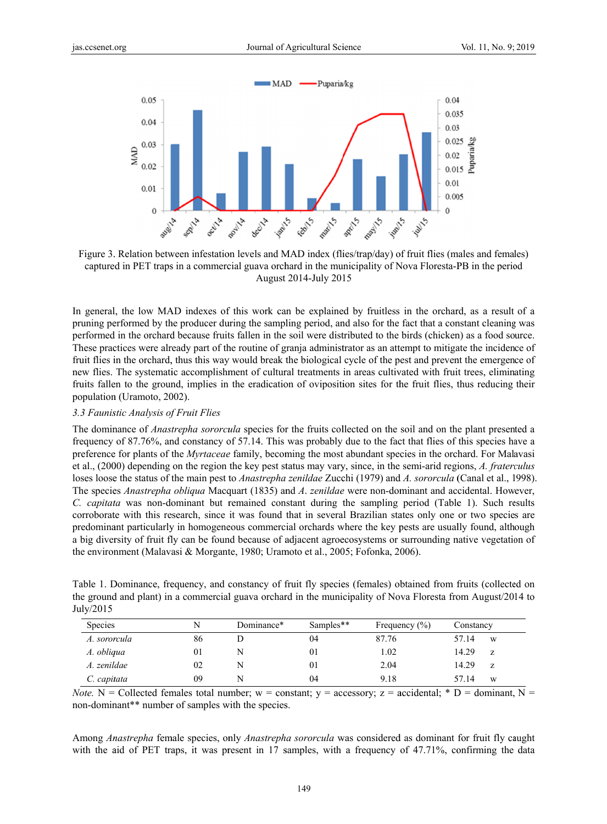

Figure 3. Relation between infestation levels and MAD index (flies/trap/day) of fruit flies (males and females) captured in PET traps in a commercial guava orchard in the municipality of Nova Floresta-PB in the period August 2014-July 2015

In general, the low MAD indexes of this work can be explained by fruitless in the orchard, as a result of a pruning performed by the producer during the sampling period, and also for the fact that a constant cleaning was performed in the orchard because fruits fallen in the soil were distributed to the birds (chicken) as a food source. These practices were already part of the routine of granja administrator as an attempt to mitigate the incidence of fruit flies in the orchard, thus this way would break the biological cycle of the pest and prevent the emergence of new flies. The systematic accomplishment of cultural treatments in areas cultivated with fruit trees, eliminating fruits fallen to the ground, implies in the eradication of oviposition sites for the fruit flies, thus reducing their population (Uramoto, 2002).

### 3.3 Faunistic Analysis of Fruit Flies

The dominance of *Anastrepha sororcula* species for the fruits collected on the soil and on the plant presented a frequency of 87.76%, and constancy of 57.14. This was probably due to the fact that flies of this species have a preference for plants of the *Myrtaceae* family, becoming the most abundant species in the orchard. For Malavasi et al., (2000) depending on the region the key pest status may vary, since, in the semi-arid regions, A. fraterculus loses loose the status of the main pest to *Anastrepha zenildae* Zucchi (1979) and A. sororcula (Canal et al., 1998). The species Anastrepha obliqua Macquart (1835) and A. zenildae were non-dominant and accidental. However, C. capitata was non-dominant but remained constant during the sampling period (Table 1). Such results corroborate with this research, since it was found that in several Brazilian states only one or two species are predominant particularly in homogeneous commercial orchards where the key pests are usually found, although a big diversity of fruit fly can be found because of adjacent agroecosystems or surrounding native vegetation of the environment (Malavasi & Morgante, 1980; Uramoto et al., 2005; Fofonka, 2006).

|           |  | Table 1. Dominance, frequency, and constancy of fruit fly species (females) obtained from fruits (collected on |  |  |  |  |
|-----------|--|----------------------------------------------------------------------------------------------------------------|--|--|--|--|
|           |  | the ground and plant) in a commercial guava orchard in the municipality of Nova Floresta from August/2014 to   |  |  |  |  |
| July/2015 |  |                                                                                                                |  |  |  |  |

| <b>Species</b> | N  | Dominance* | Samples** | Frequency $(\% )$ | Constancy  |
|----------------|----|------------|-----------|-------------------|------------|
| A. sororcula   | 86 |            | 04        | 87.76             | 57.14<br>W |
| A. obliqua     | 01 |            | 01        | 1.02              | 14.29<br>z |
| A. zenildae    | 02 |            | 01        | 2.04              | 14.29<br>Z |
| C. capitata    | 09 |            | 04        | 9.18              | 57 14<br>W |

*Note.* N = Collected females total number; w = constant; y = accessory; z = accidental; \* D = dominant, N = non-dominant\*\* number of samples with the species.

Among Anastrepha female species, only Anastrepha sororcula was considered as dominant for fruit fly caught with the aid of PET traps, it was present in 17 samples, with a frequency of 47.71%, confirming the data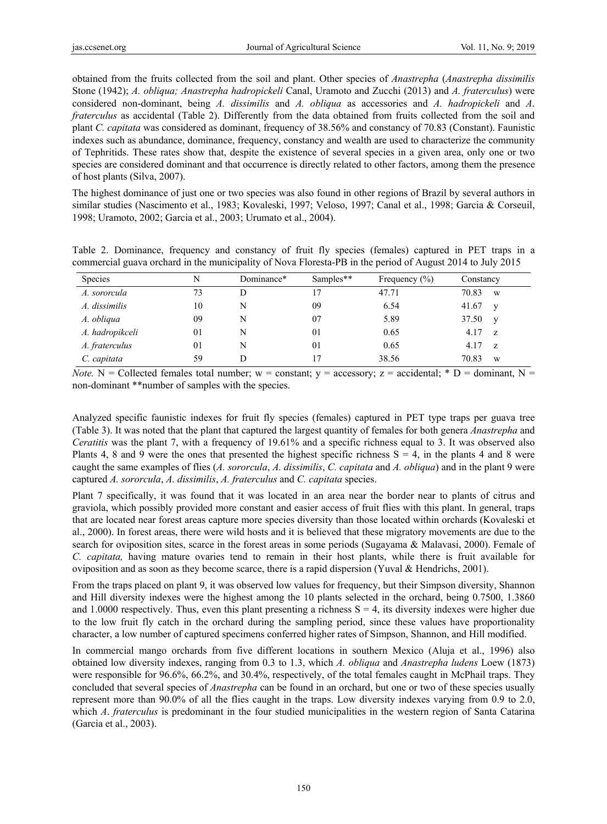obtained from the fruits collected from the soil and plant. Other species of *Anastrepha* (*Anastrepha dissimilis* Stone (1942); *A. obliqua; Anastrepha hadropickeli* Canal, Uramoto and Zucchi (2013) and *A. fraterculus*) were considered non-dominant, being *A. dissimilis* and *A. obliqua* as accessories and *A. hadropickeli* and *A*. *fraterculus* as accidental (Table 2). Differently from the data obtained from fruits collected from the soil and plant *C. capitata* was considered as dominant, frequency of 38.56% and constancy of 70.83 (Constant). Faunistic indexes such as abundance, dominance, frequency, constancy and wealth are used to characterize the community of Tephritids. These rates show that, despite the existence of several species in a given area, only one or two species are considered dominant and that occurrence is directly related to other factors, among them the presence of host plants (Silva, 2007).

The highest dominance of just one or two species was also found in other regions of Brazil by several authors in similar studies (Nascimento et al., 1983; Kovaleski, 1997; Veloso, 1997; Canal et al., 1998; Garcia & Corseuil, 1998; Uramoto, 2002; Garcia et al., 2003; Urumato et al., 2004).

Table 2. Dominance, frequency and constancy of fruit fly species (females) captured in PET traps in a commercial guava orchard in the municipality of Nova Floresta-PB in the period of August 2014 to July 2015

| <b>Species</b>  | N  | Dominance* | Samples** | Frequency $(\% )$ | Constancy         |
|-----------------|----|------------|-----------|-------------------|-------------------|
| A. sororcula    | 73 | D          | 17        | 47.71             | 70.83<br>W        |
| A. dissimilis   | 10 | N          | 09        | 6.54              | 41.67<br>V        |
| A. obliqua      | 09 | N          | 07        | 5.89              | 37.50<br><b>V</b> |
| A. hadropikceli | 01 | N          | 01        | 0.65              | 4.17<br>- 7.      |
| A. fraterculus  | 01 | N          | 01        | 0.65              | 4.17<br>- 7.      |
| C. capitata     | 59 | D          | 17        | 38.56             | 70.83<br>W        |

*Note.* N = Collected females total number; w = constant; y = accessory; z = accidental; \* D = dominant, N = non-dominant \*\*number of samples with the species.

Analyzed specific faunistic indexes for fruit fly species (females) captured in PET type traps per guava tree (Table 3). It was noted that the plant that captured the largest quantity of females for both genera *Anastrepha* and *Ceratitis* was the plant 7, with a frequency of 19.61% and a specific richness equal to 3. It was observed also Plants 4, 8 and 9 were the ones that presented the highest specific richness  $S = 4$ , in the plants 4 and 8 were caught the same examples of flies (*A. sororcula*, *A. dissimilis*, *C. capitata* and *A. obliqua*) and in the plant 9 were captured *A. sororcula*, *A. dissimilis*, *A. fraterculus* and *C. capitata* species.

Plant 7 specifically, it was found that it was located in an area near the border near to plants of citrus and graviola, which possibly provided more constant and easier access of fruit flies with this plant. In general, traps that are located near forest areas capture more species diversity than those located within orchards (Kovaleski et al., 2000). In forest areas, there were wild hosts and it is believed that these migratory movements are due to the search for oviposition sites, scarce in the forest areas in some periods (Sugayama & Malavasi, 2000). Female of *C. capitata,* having mature ovaries tend to remain in their host plants, while there is fruit available for oviposition and as soon as they become scarce, there is a rapid dispersion (Yuval & Hendrichs, 2001).

From the traps placed on plant 9, it was observed low values for frequency, but their Simpson diversity, Shannon and Hill diversity indexes were the highest among the 10 plants selected in the orchard, being 0.7500, 1.3860 and 1.0000 respectively. Thus, even this plant presenting a richness  $S = 4$ , its diversity indexes were higher due to the low fruit fly catch in the orchard during the sampling period, since these values have proportionality character, a low number of captured specimens conferred higher rates of Simpson, Shannon, and Hill modified.

In commercial mango orchards from five different locations in southern Mexico (Aluja et al., 1996) also obtained low diversity indexes, ranging from 0.3 to 1.3, which *A. obliqua* and *Anastrepha ludens* Loew (1873) were responsible for 96.6%, 66.2%, and 30.4%, respectively, of the total females caught in McPhail traps. They concluded that several species of *Anastrepha* can be found in an orchard, but one or two of these species usually represent more than 90.0% of all the flies caught in the traps. Low diversity indexes varying from 0.9 to 2.0, which *A*. *fraterculus* is predominant in the four studied municipalities in the western region of Santa Catarina (Garcia et al., 2003).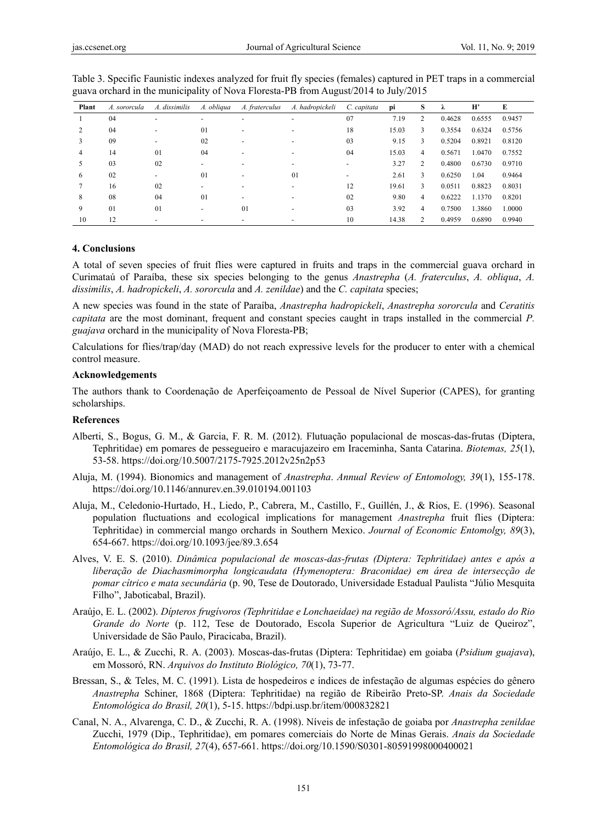| Plant | A. sororcula | A. dissimilis            | A. obliqua | A. fraterculus           | A. hadropickeli | C. capitata | pi    | S | λ      | H'     | E      |
|-------|--------------|--------------------------|------------|--------------------------|-----------------|-------------|-------|---|--------|--------|--------|
|       | 04           |                          |            |                          |                 | 07          | 7.19  |   | 0.4628 | 0.6555 | 0.9457 |
|       | 04           | $\overline{\phantom{a}}$ | 01         | $\overline{\phantom{a}}$ |                 | 18          | 15.03 | 3 | 0.3554 | 0.6324 | 0.5756 |
|       | 09           | $\overline{\phantom{0}}$ | 02         |                          |                 | 03          | 9.15  | 3 | 0.5204 | 0.8921 | 0.8120 |
| 4     | 14           | 01                       | 04         |                          |                 | 04          | 15.03 | 4 | 0.5671 | 1.0470 | 0.7552 |
|       | 03           | 02                       |            |                          |                 |             | 3.27  | 2 | 0.4800 | 0.6730 | 0.9710 |
| 6     | 02           | $\overline{\phantom{0}}$ | 01         |                          | 01              |             | 2.61  | 3 | 0.6250 | 1.04   | 0.9464 |
|       | 16           | 02                       |            |                          |                 | 12          | 19.61 | 3 | 0.0511 | 0.8823 | 0.8031 |
| 8     | 08           | 04                       | 01         |                          |                 | 02          | 9.80  | 4 | 0.6222 | 1.1370 | 0.8201 |
| 9     | 01           | 01                       |            | 01                       |                 | 03          | 3.92  | 4 | 0.7500 | 1.3860 | 1.0000 |
| 10    | 12           |                          |            |                          |                 | 10          | 14.38 |   | 0.4959 | 0.6890 | 0.9940 |

Table 3. Specific Faunistic indexes analyzed for fruit fly species (females) captured in PET traps in a commercial guava orchard in the municipality of Nova Floresta-PB from August/2014 to July/2015

#### **4. Conclusions**

A total of seven species of fruit flies were captured in fruits and traps in the commercial guava orchard in Curimataú of Paraíba, these six species belonging to the genus *Anastrepha* (*A. fraterculus*, *A. obliqua*, *A. dissimilis*, *A. hadropickeli*, *A. sororcula* and *A. zenildae*) and the *C. capitata* species;

A new species was found in the state of Paraíba, *Anastrepha hadropickeli*, *Anastrepha sororcula* and *Ceratitis capitata* are the most dominant, frequent and constant species caught in traps installed in the commercial *P. guajava* orchard in the municipality of Nova Floresta-PB;

Calculations for flies/trap/day (MAD) do not reach expressive levels for the producer to enter with a chemical control measure.

#### **Acknowledgements**

The authors thank to Coordenação de Aperfeiçoamento de Pessoal de Nível Superior (CAPES), for granting scholarships.

### **References**

- Alberti, S., Bogus, G. M., & Garcia, F. R. M. (2012). Flutuação populacional de moscas-das-frutas (Diptera, Tephritidae) em pomares de pessegueiro e maracujazeiro em Iraceminha, Santa Catarina. *Biotemas, 25*(1), 53-58. https://doi.org/10.5007/2175-7925.2012v25n2p53
- Aluja, M. (1994). Bionomics and management of *Anastrepha*. *Annual Review of Entomology, 39*(1), 155-178. https://doi.org/10.1146/annurev.en.39.010194.001103
- Aluja, M., Celedonio-Hurtado, H., Liedo, P., Cabrera, M., Castillo, F., Guillén, J., & Rios, E. (1996). Seasonal population fluctuations and ecological implications for management *Anastrepha* fruit flies (Diptera: Tephritidae) in commercial mango orchards in Southern Mexico. *Journal of Economic Entomolgy, 89*(3), 654-667. https://doi.org/10.1093/jee/89.3.654
- Alves, V. E. S. (2010). *Dinâmica populacional de moscas-das-frutas (Diptera: Tephritidae) antes e após a liberação de Diachasmimorpha longicaudata (Hymenoptera: Braconidae) em área de intersecção de pomar cítrico e mata secundária* (p. 90, Tese de Doutorado, Universidade Estadual Paulista "Júlio Mesquita Filho", Jaboticabal, Brazil).
- Araújo, E. L. (2002). *Dípteros frugívoros (Tephritidae e Lonchaeidae) na região de Mossoró/Assu, estado do Rio Grande do Norte* (p. 112, Tese de Doutorado, Escola Superior de Agricultura "Luiz de Queiroz", Universidade de São Paulo, Piracicaba, Brazil).
- Araújo, E. L., & Zucchi, R. A. (2003). Moscas-das-frutas (Diptera: Tephritidae) em goiaba (*Psidium guajava*), em Mossoró, RN. *Arquivos do Instituto Biológico, 70*(1), 73-77.
- Bressan, S., & Teles, M. C. (1991). Lista de hospedeiros e índices de infestação de algumas espécies do gênero *Anastrepha* Schiner, 1868 (Diptera: Tephritidae) na região de Ribeirão Preto-SP. *Anais da Sociedade Entomológica do Brasil, 20*(1), 5-15. https://bdpi.usp.br/item/000832821
- Canal, N. A., Alvarenga, C. D., & Zucchi, R. A. (1998). Níveis de infestação de goiaba por *Anastrepha zenildae* Zucchi, 1979 (Dip., Tephritidae), em pomares comerciais do Norte de Minas Gerais. *Anais da Sociedade Entomológica do Brasil, 27*(4), 657-661. https://doi.org/10.1590/S0301-80591998000400021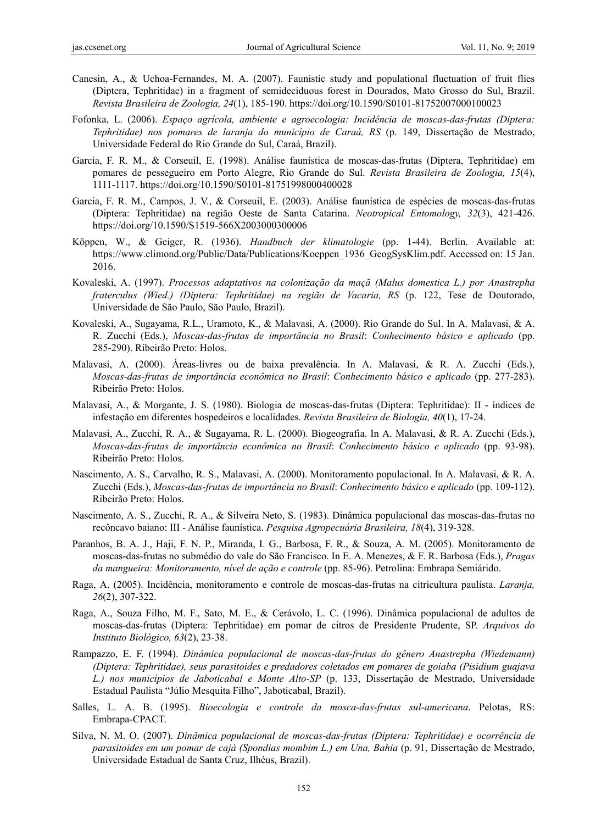- Canesin, A., & Uchoa-Fernandes, M. A. (2007). Faunistic study and populational fluctuation of fruit flies (Diptera, Tephritidae) in a fragment of semideciduous forest in Dourados, Mato Grosso do Sul, Brazil. *Revista Brasileira de Zoologia, 24*(1), 185-190. https://doi.org/10.1590/S0101-81752007000100023
- Fofonka, L. (2006). *Espaço agrícola, ambiente e agroecologia: Incidência de moscas-das-frutas (Diptera: Tephritidae) nos pomares de laranja do município de Caraá, RS* (p. 149, Dissertação de Mestrado, Universidade Federal do Rio Grande do Sul, Caraá, Brazil).
- Garcia, F. R. M., & Corseuil, E. (1998). Análise faunística de moscas-das-frutas (Diptera, Tephritidae) em pomares de pessegueiro em Porto Alegre, Rio Grande do Sul. *Revista Brasileira de Zoologia, 15*(4), 1111-1117. https://doi.org/10.1590/S0101-81751998000400028
- Garcia, F. R. M., Campos, J. V., & Corseuil, E. (2003). Análise faunística de espécies de moscas-das-frutas (Diptera: Tephritidae) na região Oeste de Santa Catarina. *Neotropical Entomology, 32*(3), 421-426. https://doi.org/10.1590/S1519-566X2003000300006
- Köppen, W., & Geiger, R. (1936). *Handbuch der klimatologie* (pp. 1-44). Berlin. Available at: https://www.climond.org/Public/Data/Publications/Koeppen\_1936\_GeogSysKlim.pdf. Accessed on: 15 Jan. 2016.
- Kovaleski, A. (1997). *Processos adaptativos na colonização da maçã (Malus domestica L.) por Anastrepha fraterculus (Wied.) (Diptera: Tephritidae) na região de Vacaria, RS* (p. 122, Tese de Doutorado, Universidade de São Paulo, São Paulo, Brazil).
- Kovaleski, A., Sugayama, R.L., Uramoto, K., & Malavasi, A. (2000). Rio Grande do Sul. In A. Malavasi, & A. R. Zucchi (Eds.), *Moscas-das-frutas de importância no Brasil*: *Conhecimento básico e aplicado* (pp. 285-290). Ribeirão Preto: Holos.
- Malavasi, A. (2000). Áreas-livres ou de baixa prevalência. In A. Malavasi, & R. A. Zucchi (Eds.), *Moscas-das-frutas de importância econômica no Brasil*: *Conhecimento básico e aplicado* (pp. 277-283). Ribeirão Preto: Holos.
- Malavasi, A., & Morgante, J. S. (1980). Biologia de moscas-das-frutas (Diptera: Tephritidae): II índices de infestação em diferentes hospedeiros e localidades. *Revista Brasileira de Biologia, 40*(1), 17-24.
- Malavasi, A., Zucchi, R. A., & Sugayama, R. L. (2000). Biogeografia. In A. Malavasi, & R. A. Zucchi (Eds.), *Moscas-das-frutas de importância econômica no Brasil*: *Conhecimento básico e aplicado* (pp. 93-98). Ribeirão Preto: Holos.
- Nascimento, A. S., Carvalho, R. S., Malavasi, A. (2000). Monitoramento populacional. In A. Malavasi, & R. A. Zucchi (Eds.), *Moscas-das-frutas de importância no Brasil*: *Conhecimento básico e aplicado* (pp. 109-112). Ribeirão Preto: Holos.
- Nascimento, A. S., Zucchi, R. A., & Silveira Neto, S. (1983). Dinâmica populacional das moscas-das-frutas no recôncavo baiano: III - Análise faunística. *Pesquisa Agropecuária Brasileira, 18*(4), 319-328.
- Paranhos, B. A. J., Haji, F. N. P., Miranda, I. G., Barbosa, F. R., & Souza, A. M. (2005). Monitoramento de moscas-das-frutas no submédio do vale do São Francisco. In E. A. Menezes, & F. R. Barbosa (Eds.), *Pragas da mangueira: Monitoramento, nível de ação e controle* (pp. 85-96). Petrolina: Embrapa Semiárido.
- Raga, A. (2005). Incidência, monitoramento e controle de moscas-das-frutas na citricultura paulista. *Laranja, 26*(2), 307-322.
- Raga, A., Souza Filho, M. F., Sato, M. E., & Cerávolo, L. C. (1996). Dinâmica populacional de adultos de moscas-das-frutas (Diptera: Tephritidae) em pomar de citros de Presidente Prudente, SP. *Arquivos do Instituto Biológico, 63*(2), 23-38.
- Rampazzo, E. F. (1994). *Dinâmica populacional de moscas-das-frutas do gênero Anastrepha (Wiedemann) (Diptera: Tephritidae), seus parasitoides e predadores coletados em pomares de goiaba (Pisidium guajava L.) nos municípios de Jaboticabal e Monte Alto-SP* (p. 133, Dissertação de Mestrado, Universidade Estadual Paulista "Júlio Mesquita Filho", Jaboticabal, Brazil).
- Salles, L. A. B. (1995). *Bioecologia e controle da mosca-das-frutas sul-americana*. Pelotas, RS: Embrapa-CPACT.
- Silva, N. M. O. (2007). *Dinâmica populacional de moscas-das-frutas (Diptera: Tephritidae) e ocorrência de parasitoides em um pomar de cajá (Spondias mombim L.) em Una, Bahia* (p. 91, Dissertação de Mestrado, Universidade Estadual de Santa Cruz, Ilhéus, Brazil).